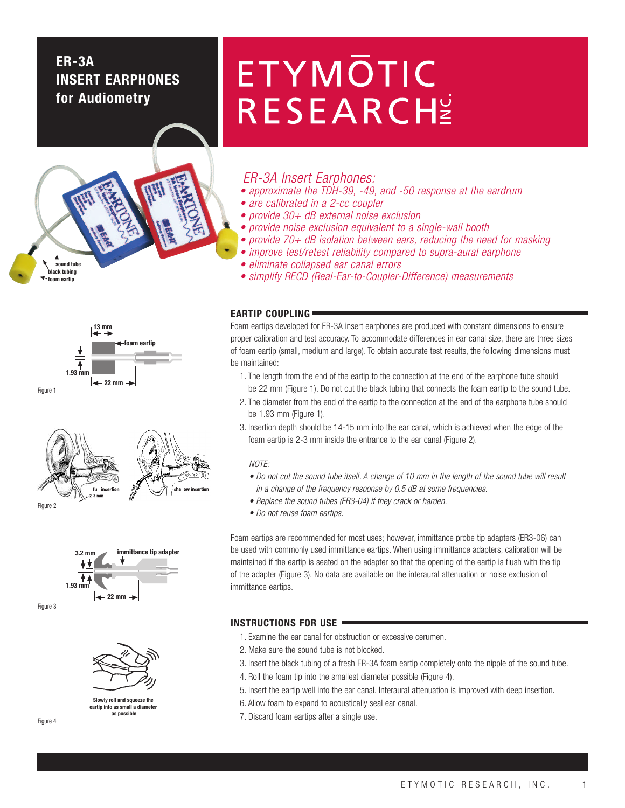# **ER-3A INSERT EARPHONES for Audiometry**





full in: Figure 2





**Slowly roll and squeeze the eartip into as small a diamet as possible**

### Figure 4

# **ETYMOTIC** RESEARCHE

# ER-3A Insert Earphones:

- approximate the TDH-39, -49, and -50 response at the eardrum
- are calibrated in a 2-cc coupler
- provide 30+ dB external noise exclusion
- provide noise exclusion equivalent to a single-wall booth
- provide 70+ dB isolation between ears, reducing the need for masking
- improve test/retest reliability compared to supra-aural earphone
- eliminate collapsed ear canal errors
- simplify RECD (Real-Ear-to-Coupler-Difference) measurements

# **EARTIP COUPLING**

Foam eartips developed for ER-3A insert earphones are produced with constant dimensions to ensure proper calibration and test accuracy. To accommodate differences in ear canal size, there are three sizes of foam eartip (small, medium and large). To obtain accurate test results, the following dimensions must be maintained:

- 1. The length from the end of the eartip to the connection at the end of the earphone tube should be 22 mm (Figure 1). Do not cut the black tubing that connects the foam eartip to the sound tube.
- 2. The diameter from the end of the eartip to the connection at the end of the earphone tube should be 1.93 mm (Figure 1).
- 3. Insertion depth should be 14-15 mm into the ear canal, which is achieved when the edge of the foam eartip is 2-3 mm inside the entrance to the ear canal (Figure 2).

## NOTE:

- Do not cut the sound tube itself. A change of 10 mm in the length of the sound tube will result in a change of the frequency response by 0.5 dB at some frequencies.
- Replace the sound tubes (ER3-04) if they crack or harden.
- Do not reuse foam eartips.

Foam eartips are recommended for most uses; however, immittance probe tip adapters (ER3-06) can be used with commonly used immittance eartips. When using immittance adapters, calibration will be maintained if the eartip is seated on the adapter so that the opening of the eartip is flush with the tip of the adapter (Figure 3). No data are available on the interaural attenuation or noise exclusion of immittance eartips.

# **INSTRUCTIONS FOR USE**

- 1. Examine the ear canal for obstruction or excessive cerumen.
- 2. Make sure the sound tube is not blocked.
- 3. Insert the black tubing of a fresh ER-3A foam eartip completely onto the nipple of the sound tube.
- 4. Roll the foam tip into the smallest diameter possible (Figure 4).
- 5. Insert the eartip well into the ear canal. Interaural attenuation is improved with deep insertion.
- 6. Allow foam to expand to acoustically seal ear canal.
- 7. Discard foam eartips after a single use.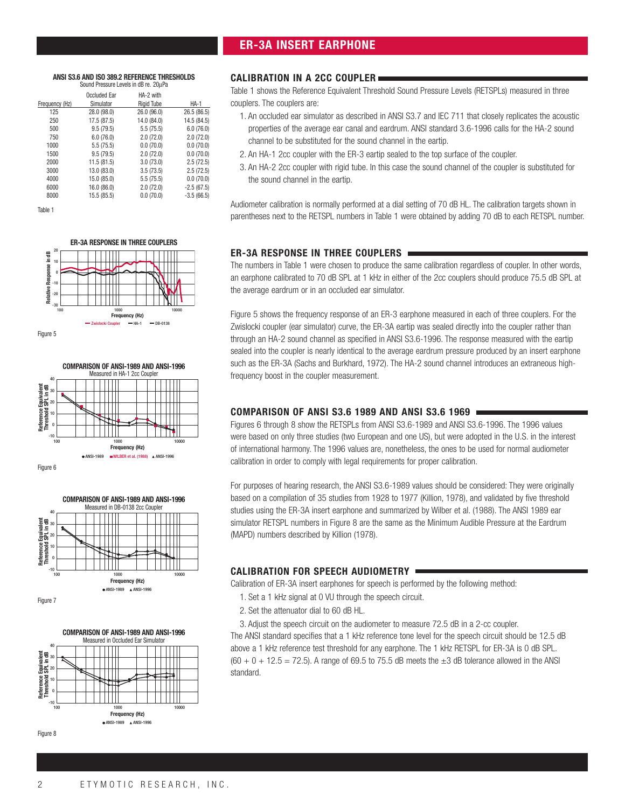# **ER-3A INSERT EARPHONE**

### **ANSI S3.6 AND ISO 389.2 REFERENCE THRESHOLDS** Sound Pressure Levels in dB re. 20µPa

|                | Occluded Ear | HA-2 with         |              |
|----------------|--------------|-------------------|--------------|
| Frequency (Hz) | Simulator    | <b>Rigid Tube</b> | <b>HA-1</b>  |
| 125            | 28.0 (98.0)  | 26.0 (96.0)       | 26.5 (86.5)  |
| 250            | 17.5 (87.5)  | 14.0 (84.0)       | 14.5 (84.5)  |
| 500            | 9.5(79.5)    | 5.5(75.5)         | 6.0(76.0)    |
| 750            | 6.0(76.0)    | 2.0(72.0)         | 2.0(72.0)    |
| 1000           | 5.5(75.5)    | 0.0(70.0)         | 0.0(70.0)    |
| 1500           | 9.5(79.5)    | 2.0(72.0)         | 0.0(70.0)    |
| 2000           | 11.5(81.5)   | 3.0(73.0)         | 2.5(72.5)    |
| 3000           | 13.0 (83.0)  | 3.5(73.5)         | 2.5(72.5)    |
| 4000           | 15.0 (85.0)  | 5.5(75.5)         | 0.0(70.0)    |
| 6000           | 16.0 (86.0)  | 2.0(72.0)         | $-2.5(67.5)$ |
| 8000           | 15.5 (85.5)  | 0.0(70.0)         | $-3.5(66.5)$ |

Table 1











Figure 7



Figure 8

# **CALIBRATION IN A 2CC COUPLER**

Table 1 shows the Reference Equivalent Threshold Sound Pressure Levels (RETSPLs) measured in three couplers. The couplers are:

- 1. An occluded ear simulator as described in ANSI S3.7 and IEC 711 that closely replicates the acoustic properties of the average ear canal and eardrum. ANSI standard 3.6-1996 calls for the HA-2 sound channel to be substituted for the sound channel in the eartip.
- 2. An HA-1 2cc coupler with the ER-3 eartip sealed to the top surface of the coupler.
- 3. An HA-2 2cc coupler with rigid tube. In this case the sound channel of the coupler is substituted for the sound channel in the eartip.

Audiometer calibration is normally performed at a dial setting of 70 dB HL. The calibration targets shown in parentheses next to the RETSPL numbers in Table 1 were obtained by adding 70 dB to each RETSPL number.

# **ER-3A RESPONSE IN THREE COUPLERS**

The numbers in Table 1 were chosen to produce the same calibration regardless of coupler. In other words, an earphone calibrated to 70 dB SPL at 1 kHz in either of the 2cc couplers should produce 75.5 dB SPL at the average eardrum or in an occluded ear simulator.

Figure 5 shows the frequency response of an ER-3 earphone measured in each of three couplers. For the Zwislocki coupler (ear simulator) curve, the ER-3A eartip was sealed directly into the coupler rather than through an HA-2 sound channel as specified in ANSI S3.6-1996. The response measured with the eartip sealed into the coupler is nearly identical to the average eardrum pressure produced by an insert earphone such as the ER-3A (Sachs and Burkhard, 1972). The HA-2 sound channel introduces an extraneous highfrequency boost in the coupler measurement.

# **COMPARISON OF ANSI S3.6 1989 AND ANSI S3.6 1969**

Figures 6 through 8 show the RETSPLs from ANSI S3.6-1989 and ANSI S3.6-1996. The 1996 values were based on only three studies (two European and one US), but were adopted in the U.S. in the interest of international harmony. The 1996 values are, nonetheless, the ones to be used for normal audiometer calibration in order to comply with legal requirements for proper calibration.

For purposes of hearing research, the ANSI S3.6-1989 values should be considered: They were originally based on a compilation of 35 studies from 1928 to 1977 (Killion, 1978), and validated by five threshold studies using the ER-3A insert earphone and summarized by Wilber et al. (1988). The ANSI 1989 ear simulator RETSPL numbers in Figure 8 are the same as the Minimum Audible Pressure at the Eardrum (MAPD) numbers described by Killion (1978).

# **CALIBRATION FOR SPEECH AUDIOMETRY**

Calibration of ER-3A insert earphones for speech is performed by the following method:

- 1. Set a 1 kHz signal at 0 VU through the speech circuit.
- 2. Set the attenuator dial to 60 dB HL.

3. Adjust the speech circuit on the audiometer to measure 72.5 dB in a 2-cc coupler. The ANSI standard specifies that a 1 kHz reference tone level for the speech circuit should be 12.5 dB above a 1 kHz reference test threshold for any earphone. The 1 kHz RETSPL for ER-3A is 0 dB SPL.  $(60 + 0 + 12.5 = 72.5)$ . A range of 69.5 to 75.5 dB meets the  $\pm 3$  dB tolerance allowed in the ANSI standard.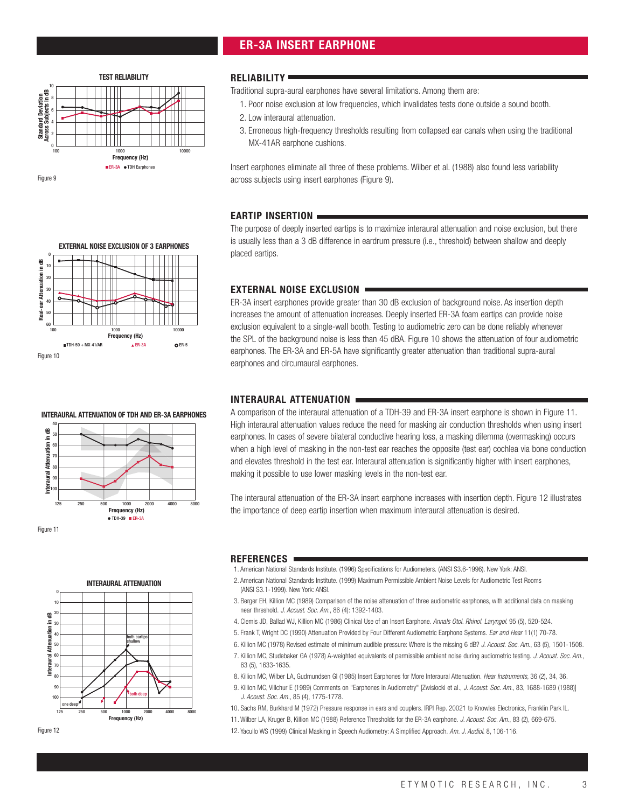# **ER-3A INSERT EARPHONE**



Figure 9

**Real-ear Attenuation in dB**<br>|s|| a|<br>|s|| a|| a|  $\overline{c}$ 30 40  $\overline{5}$ 60

Real-ear Attenuation in dB

Figure 10

0

# **RELIABILITY**

Traditional supra-aural earphones have several limitations. Among them are:

- 1. Poor noise exclusion at low frequencies, which invalidates tests done outside a sound booth.
- 2. Low interaural attenuation.
- 3. Erroneous high-frequency thresholds resulting from collapsed ear canals when using the traditional MX-41AR earphone cushions.

Insert earphones eliminate all three of these problems. Wilber et al. (1988) also found less variability across subjects using insert earphones (Figure 9).

# **EARTIP INSERTION**

The purpose of deeply inserted eartips is to maximize interaural attenuation and noise exclusion, but there is usually less than a 3 dB difference in eardrum pressure (i.e., threshold) between shallow and deeply placed eartips.

# **EXTERNAL NOISE EXCLUSION**

ER-3A insert earphones provide greater than 30 dB exclusion of background noise. As insertion depth increases the amount of attenuation increases. Deeply inserted ER-3A foam eartips can provide noise exclusion equivalent to a single-wall booth. Testing to audiometric zero can be done reliably whenever the SPL of the background noise is less than 45 dBA. Figure 10 shows the attenuation of four audiometric earphones. The ER-3A and ER-5A have significantly greater attenuation than traditional supra-aural earphones and circumaural earphones.

# **INTERAURAL ATTENUATION**

A comparison of the interaural attenuation of a TDH-39 and ER-3A insert earphone is shown in Figure 11. High interaural attenuation values reduce the need for masking air conduction thresholds when using insert earphones. In cases of severe bilateral conductive hearing loss, a masking dilemma (overmasking) occurs when a high level of masking in the non-test ear reaches the opposite (test ear) cochlea via bone conduction and elevates threshold in the test ear. Interaural attenuation is significantly higher with insert earphones, making it possible to use lower masking levels in the non-test ear.

The interaural attenuation of the ER-3A insert earphone increases with insertion depth. Figure 12 illustrates the importance of deep eartip insertion when maximum interaural attenuation is desired.

- **REFERENCES** 1. American National Standards Institute. (1996) Specifications for Audiometers. (ANSI S3.6-1996). New York: ANSI.
- 2. American National Standards Institute. (1999) Maximum Permissible Ambient Noise Levels for Audiometric Test Rooms (ANSI S3.1-1999). New York: ANSI.
- 3. Berger EH, Killion MC (1989) Comparison of the noise attenuation of three audiometric earphones, with additional data on masking near threshold. J. Acoust. Soc. Am., 86 (4): 1392-1403.
- 4. Clemis JD, Ballad WJ, Killion MC (1986) Clinical Use of an Insert Earphone. Annals Otol. Rhinol. Laryngol. 95 (5), 520-524.
- 5. Frank T, Wright DC (1990) Attenuation Provided by Four Different Audiometric Earphone Systems. Ear and Hear 11(1) 70-78.
- 6. Killion MC (1978) Revised estimate of minimum audible pressure: Where is the missing 6 dB? J. Acoust. Soc. Am., 63 (5), 1501-1508.
- 7. Killion MC, Studebaker GA (1978) A-weighted equivalents of permissible ambient noise during audiometric testing. J. Acoust. Soc. Am., 63 (5), 1633-1635.
- 8. Killion MC, Wilber LA, Gudmundsen GI (1985) Insert Earphones for More Interaural Attenuation. Hear Instruments, 36 (2), 34, 36.
- 9. Killion MC, Villchur E (1989) Comments on "Earphones in Audiometry" [Zwislocki et al., J. Acoust. Soc. Am., 83, 1688-1689 (1988)] J. Acoust. Soc. Am., 85 (4), 1775-1778.
- 10. Sachs RM, Burkhard M (1972) Pressure response in ears and couplers. IRPI Rep. 20021 to Knowles Electronics, Franklin Park IL.
- 11. Wilber LA, Kruger B, Killion MC (1988) Reference Thresholds for the ER-3A earphone. J. Acoust. Soc. Am., 83 (2), 669-675.
- 12. Yacullo WS (1999) Clinical Masking in Speech Audiometry: A Simplified Approach. Am. J. Audiol. 8, 106-116.



**Frequency (Hz)**

**EXTERNAL NOISE EXCLUSION OF 3 EARPHONES**

100 1000 10000 TDH-50 + MX-41/AR ER-3A ER-5